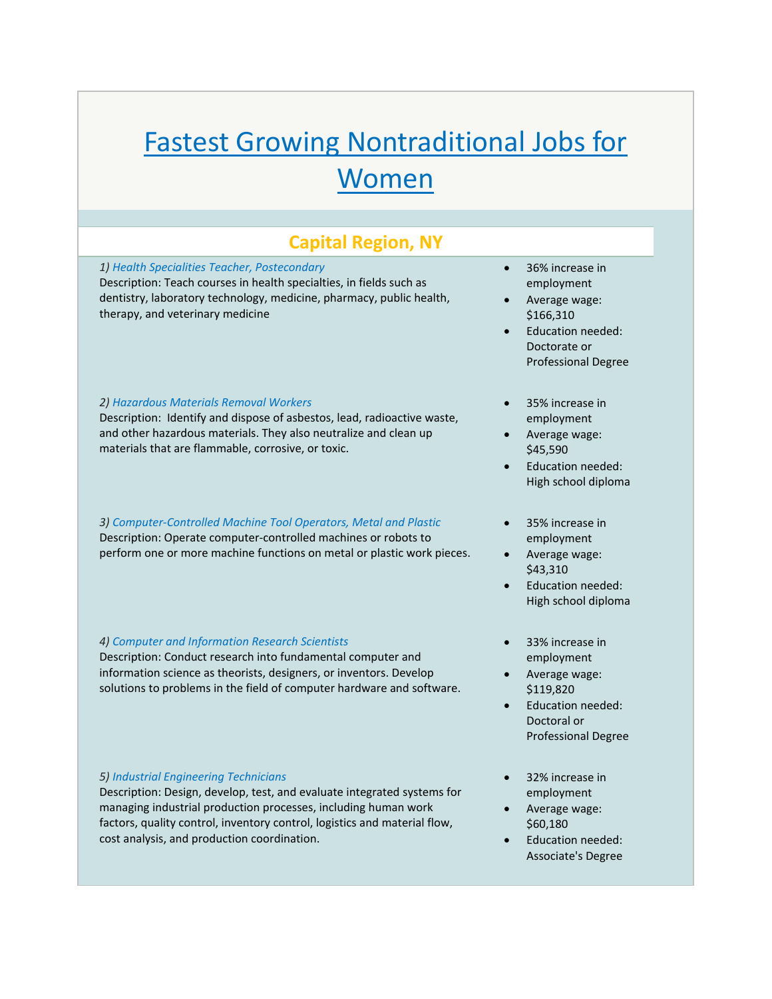# Fastest Growing Nontraditional Jobs for Women

# **Capital Region, NY**

*1) Health Specialities Teacher, Postecondary* Description: Teach courses in health specialties, in fields such as dentistry, laboratory technology, medicine, pharmacy, public health, therapy, and veterinary medicine

#### *2) Hazardous Materials Removal Workers*

Description: Identify and dispose of asbestos, lead, radioactive waste, and other hazardous materials. They also neutralize and clean up materials that are flammable, corrosive, or toxic.

*3) Computer‐Controlled Machine Tool Operators, Metal and Plastic* Description: Operate computer‐controlled machines or robots to perform one or more machine functions on metal or plastic work pieces.

#### *4) Computer and Information Research Scientists*

Description: Conduct research into fundamental computer and information science as theorists, designers, or inventors. Develop solutions to problems in the field of computer hardware and software.

#### *5) Industrial Engineering Technicians*

Description: Design, develop, test, and evaluate integrated systems for managing industrial production processes, including human work factors, quality control, inventory control, logistics and material flow, cost analysis, and production coordination.

- 36% increase in employment
- Average wage: \$166,310
- Education needed: Doctorate or Professional Degree
- 35% increase in employment
- Average wage: \$45,590
- Education needed: High school diploma
- 35% increase in employment
- Average wage: \$43,310
- Education needed: High school diploma
- 33% increase in employment
- Average wage: \$119,820
- Education needed: Doctoral or Professional Degree
- 32% increase in employment
- Average wage: \$60,180
- Education needed: Associate's Degree